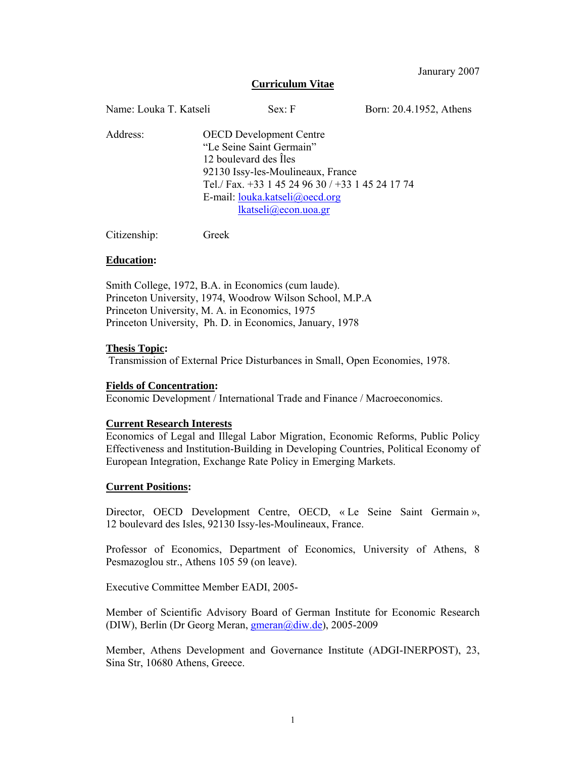Janurary 2007

## **Curriculum Vitae**

| Name: Louka T. Katseli | Sex: F                                                                                                                                                                                                                                  | Born: 20.4.1952, Athens |
|------------------------|-----------------------------------------------------------------------------------------------------------------------------------------------------------------------------------------------------------------------------------------|-------------------------|
| Address:               | <b>OECD</b> Development Centre<br>"Le Seine Saint Germain"<br>12 boulevard des Îles<br>92130 Issy-les-Moulineaux, France<br>Tel./Fax. +33 1 45 24 96 30 / +33 1 45 24 17 74<br>E-mail: $louka.katseli@oecd.org$<br>lkatseli@econ.uoa.gr |                         |

Citizenship: Greek

#### **Education:**

Smith College, 1972, B.A. in Economics (cum laude). Princeton University, 1974, Woodrow Wilson School, M.P.A Princeton University, M. A. in Economics, 1975 Princeton University, Ph. D. in Economics, January, 1978

#### **Thesis Topic:**

Transmission of External Price Disturbances in Small, Open Economies, 1978.

#### **Fields of Concentration:**

Economic Development / International Trade and Finance / Macroeconomics.

#### **Current Research Interests**

Economics of Legal and Illegal Labor Migration, Economic Reforms, Public Policy Effectiveness and Institution-Building in Developing Countries, Political Economy of European Integration, Exchange Rate Policy in Emerging Markets.

#### **Current Positions:**

Director, OECD Development Centre, OECD, « Le Seine Saint Germain », 12 boulevard des Isles, 92130 Issy-les-Moulineaux, France.

Professor of Economics, Department of Economics, University of Athens, 8 Pesmazoglou str., Athens 105 59 (on leave).

Executive Committee Member EADI, 2005-

Member of Scientific Advisory Board of German Institute for Economic Research (DIW), Berlin (Dr Georg Meran, *gmeran@diw.de*), 2005-2009

Member, Athens Development and Governance Institute (ADGI-INERPOST), 23, Sina Str, 10680 Athens, Greece.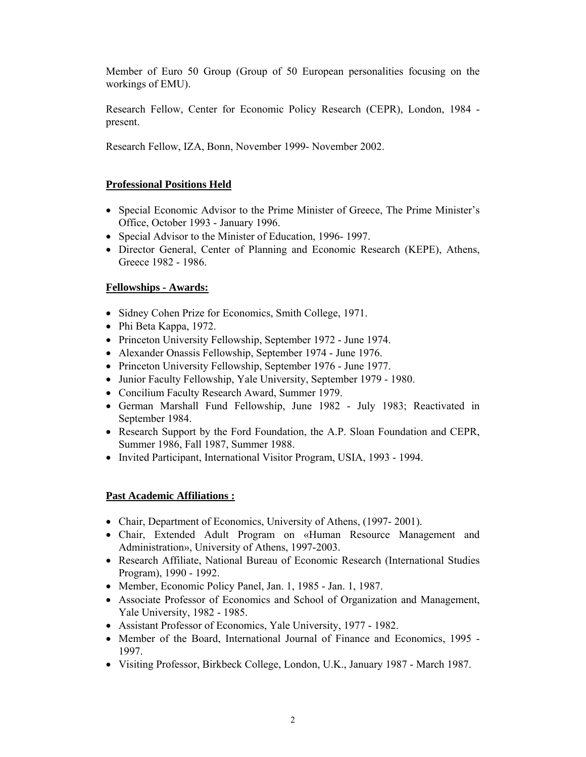Member of Euro 50 Group (Group of 50 European personalities focusing on the workings of EMU).

Research Fellow, Center for Economic Policy Research (CEPR), London, 1984 present.

Research Fellow, IZA, Bonn, November 1999- November 2002.

# **Professional Positions Held**

- Special Economic Advisor to the Prime Minister of Greece, The Prime Minister's Office, October 1993 - January 1996.
- Special Advisor to the Minister of Education, 1996-1997.
- Director General, Center of Planning and Economic Research (KEPE), Athens, Greece 1982 - 1986.

# **Fellowships - Awards:**

- Sidney Cohen Prize for Economics, Smith College, 1971.
- Phi Beta Kappa, 1972.
- Princeton University Fellowship, September 1972 June 1974.
- Alexander Onassis Fellowship, September 1974 June 1976.
- Princeton University Fellowship, September 1976 June 1977.
- Junior Faculty Fellowship, Yale University, September 1979 1980.
- Concilium Faculty Research Award, Summer 1979.
- German Marshall Fund Fellowship, June 1982 July 1983; Reactivated in September 1984.
- Research Support by the Ford Foundation, the A.P. Sloan Foundation and CEPR, Summer 1986, Fall 1987, Summer 1988.
- Invited Participant, International Visitor Program, USIA, 1993 1994.

# **Past Academic Affiliations :**

- Chair, Department of Economics, University of Athens, (1997-2001).
- Chair, Extended Adult Program on «Human Resource Management and Administration», University of Athens, 1997-2003.
- Research Affiliate, National Bureau of Economic Research (International Studies Program), 1990 - 1992.
- Member, Economic Policy Panel, Jan. 1, 1985 Jan. 1, 1987.
- Associate Professor of Economics and School of Organization and Management, Yale University, 1982 - 1985.
- Assistant Professor of Economics, Yale University, 1977 1982.
- Member of the Board, International Journal of Finance and Economics, 1995 1997.
- Visiting Professor, Birkbeck College, London, U.K., January 1987 March 1987.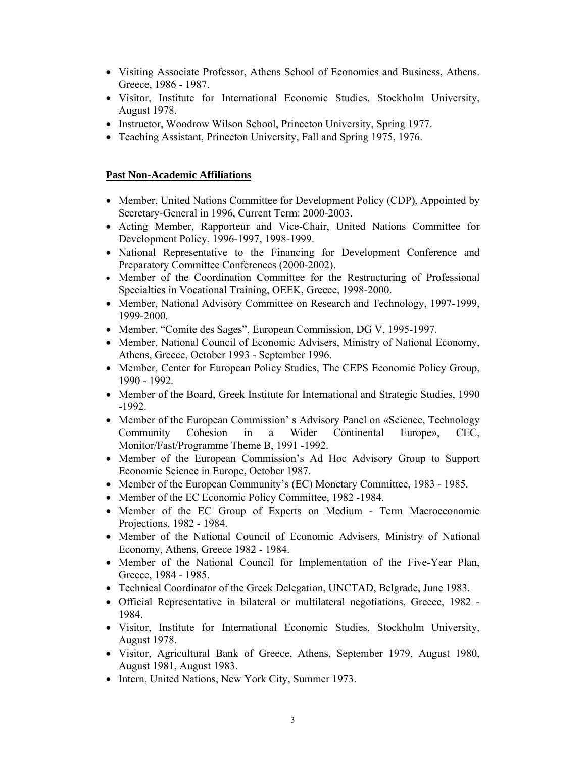- Visiting Associate Professor, Athens School of Economics and Business, Athens. Greece, 1986 - 1987.
- Visitor, Institute for International Economic Studies, Stockholm University, August 1978.
- Instructor, Woodrow Wilson School, Princeton University, Spring 1977.
- Teaching Assistant, Princeton University, Fall and Spring 1975, 1976.

## **Past Non-Academic Affiliations**

- Member, United Nations Committee for Development Policy (CDP), Appointed by Secretary-General in 1996, Current Term: 2000-2003.
- Acting Member, Rapporteur and Vice-Chair, United Nations Committee for Development Policy, 1996-1997, 1998-1999.
- National Representative to the Financing for Development Conference and Preparatory Committee Conferences (2000-2002).
- Member of the Coordination Committee for the Restructuring of Professional Specialties in Vocational Training, OEEK, Greece, 1998-2000.
- Member, National Advisory Committee on Research and Technology, 1997-1999, 1999-2000.
- Member, "Comite des Sages", European Commission, DG V, 1995-1997.
- Member, National Council of Economic Advisers, Ministry of National Economy, Athens, Greece, October 1993 - September 1996.
- Member, Center for European Policy Studies, The CEPS Economic Policy Group, 1990 - 1992.
- Member of the Board, Greek Institute for International and Strategic Studies, 1990 -1992.
- Member of the European Commission's Advisory Panel on «Science, Technology Community Cohesion in a Wider Continental Europe», CEC, Monitor/Fast/Programme Theme B, 1991 -1992.
- Member of the European Commission's Ad Hoc Advisory Group to Support Economic Science in Europe, October 1987.
- Member of the European Community's (EC) Monetary Committee, 1983 1985.
- Member of the EC Economic Policy Committee, 1982 -1984.
- Member of the EC Group of Experts on Medium Term Macroeconomic Projections, 1982 - 1984.
- Member of the National Council of Economic Advisers, Ministry of National Economy, Athens, Greece 1982 - 1984.
- Member of the National Council for Implementation of the Five-Year Plan, Greece, 1984 - 1985.
- Technical Coordinator of the Greek Delegation, UNCTAD, Belgrade, June 1983.
- Official Representative in bilateral or multilateral negotiations, Greece, 1982 1984.
- Visitor, Institute for International Economic Studies, Stockholm University, August 1978.
- Visitor, Agricultural Bank of Greece, Athens, September 1979, August 1980, August 1981, August 1983.
- Intern, United Nations, New York City, Summer 1973.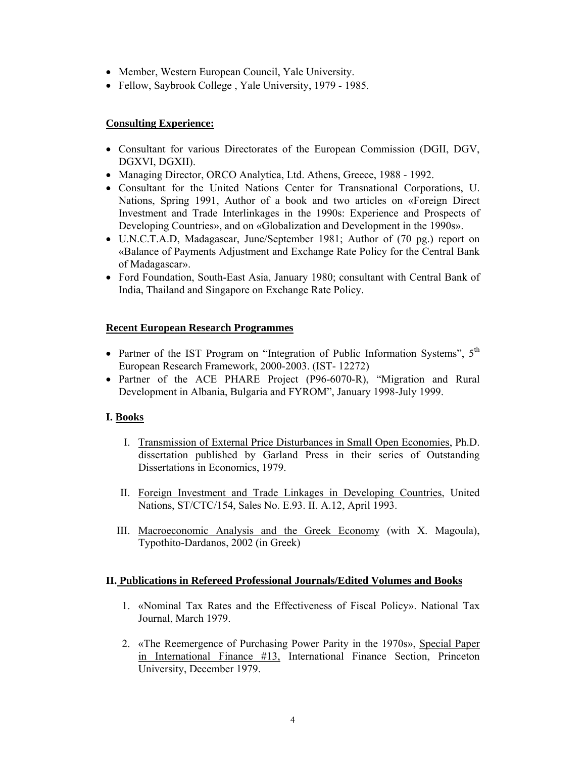- Member, Western European Council, Yale University.
- Fellow, Saybrook College, Yale University, 1979 1985.

## **Consulting Experience:**

- Consultant for various Directorates of the European Commission (DGII, DGV, DGXVI, DGXII).
- Managing Director, ORCO Analytica, Ltd. Athens, Greece, 1988 1992.
- Consultant for the United Nations Center for Transnational Corporations, U. Nations, Spring 1991, Author of a book and two articles on «Foreign Direct Investment and Trade Interlinkages in the 1990s: Experience and Prospects of Developing Countries», and on «Globalization and Development in the 1990s».
- U.N.C.T.A.D, Madagascar, June/September 1981; Author of (70 pg.) report on «Balance of Payments Adjustment and Exchange Rate Policy for the Central Bank of Madagascar».
- Ford Foundation, South-East Asia, January 1980; consultant with Central Bank of India, Thailand and Singapore on Exchange Rate Policy.

## **Recent European Research Programmes**

- Partner of the IST Program on "Integration of Public Information Systems",  $5<sup>th</sup>$ European Research Framework, 2000-2003. (IST- 12272)
- Partner of the ACE PHARE Project (P96-6070-R), "Migration and Rural Development in Albania, Bulgaria and FYROM", January 1998-July 1999.

# **I. Books**

- I. Transmission of External Price Disturbances in Small Open Economies, Ph.D. dissertation published by Garland Press in their series of Outstanding Dissertations in Economics, 1979.
- II. Foreign Investment and Trade Linkages in Developing Countries, United Nations, ST/CTC/154, Sales No. E.93. II. A.12, April 1993.
- III. Macroeconomic Analysis and the Greek Economy (with X. Magoula), Typothito-Dardanos, 2002 (in Greek)

## **II. Publications in Refereed Professional Journals/Edited Volumes and Books**

- 1. «Nominal Tax Rates and the Effectiveness of Fiscal Policy». National Tax Journal, March 1979.
- 2. «The Reemergence of Purchasing Power Parity in the 1970s», Special Paper in International Finance #13, International Finance Section, Princeton University, December 1979.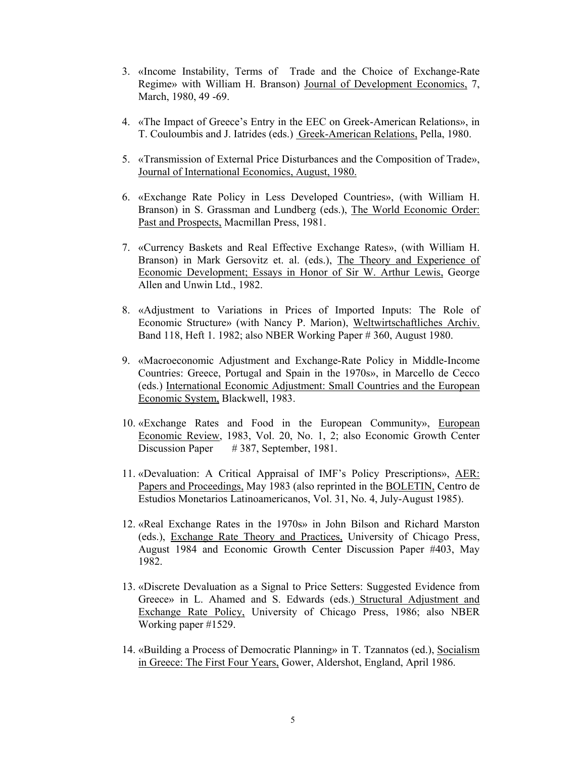- 3. «Income Instability, Terms of Trade and the Choice of Exchange-Rate Regime» with William H. Branson) Journal of Development Economics, 7, March, 1980, 49 -69.
- 4. «The Impact of Greece's Entry in the EEC on Greek-American Relations», in T. Couloumbis and J. Iatrides (eds.) Greek-American Relations, Pella, 1980.
- 5. «Transmission of External Price Disturbances and the Composition of Trade», Journal of International Economics, August, 1980.
- 6. «Exchange Rate Policy in Less Developed Countries», (with William H. Branson) in S. Grassman and Lundberg (eds.), The World Economic Order: Past and Prospects, Macmillan Press, 1981.
- 7. «Currency Baskets and Real Effective Exchange Rates», (with William H. Branson) in Mark Gersovitz et. al. (eds.), The Theory and Experience of Economic Development; Essays in Honor of Sir W. Arthur Lewis, George Allen and Unwin Ltd., 1982.
- 8. «Adjustment to Variations in Prices of Imported Inputs: The Role of Economic Structure» (with Nancy P. Marion), Weltwirtschaftliches Archiv. Band 118, Heft 1. 1982; also NBER Working Paper # 360, August 1980.
- 9. «Macroeconomic Adjustment and Exchange-Rate Policy in Middle-Income Countries: Greece, Portugal and Spain in the 1970s», in Marcello de Cecco (eds.) International Economic Adjustment: Small Countries and the European Economic System, Blackwell, 1983.
- 10. «Exchange Rates and Food in the European Community», European Economic Review, 1983, Vol. 20, No. 1, 2; also Economic Growth Center Discussion Paper # 387, September, 1981.
- 11. «Devaluation: A Critical Appraisal of IMF's Policy Prescriptions», AER: Papers and Proceedings, May 1983 (also reprinted in the BOLETIN, Centro de Estudios Monetarios Latinoamericanos, Vol. 31, No. 4, July-August 1985).
- 12. «Real Exchange Rates in the 1970s» in John Bilson and Richard Marston (eds.), Exchange Rate Theory and Practices, University of Chicago Press, August 1984 and Economic Growth Center Discussion Paper #403, May 1982.
- 13. «Discrete Devaluation as a Signal to Price Setters: Suggested Evidence from Greece» in L. Ahamed and S. Edwards (eds.) Structural Adjustment and Exchange Rate Policy, University of Chicago Press, 1986; also NBER Working paper #1529.
- 14. «Building a Process of Democratic Planning» in T. Tzannatos (ed.), Socialism in Greece: The First Four Years, Gower, Aldershot, England, April 1986.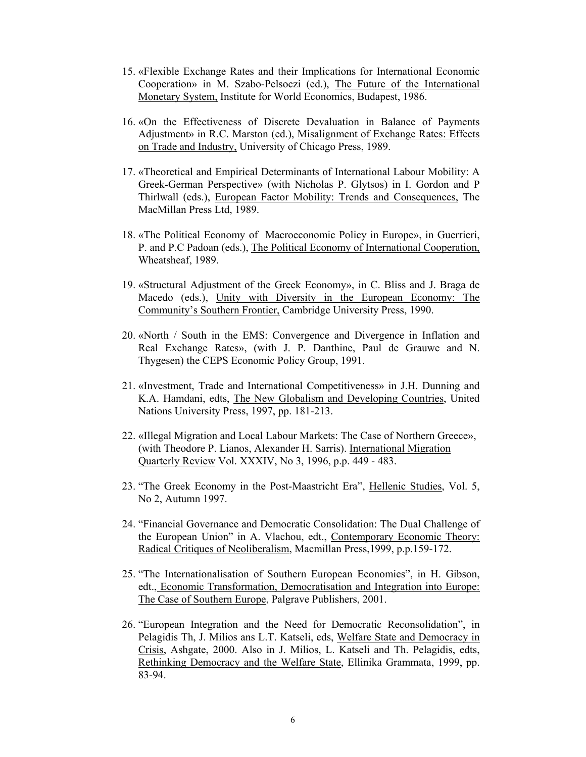- 15. «Flexible Exchange Rates and their Implications for International Economic Cooperation» in M. Szabo-Pelsoczi (ed.), The Future of the International Monetary System, Institute for World Economics, Budapest, 1986.
- 16. «On the Effectiveness of Discrete Devaluation in Balance of Payments Adjustment» in R.C. Marston (ed.), Misalignment of Exchange Rates: Effects on Trade and Industry, University of Chicago Press, 1989.
- 17. «Theoretical and Empirical Determinants of International Labour Mobility: A Greek-German Perspective» (with Nicholas P. Glytsos) in I. Gordon and P Thirlwall (eds.), European Factor Mobility: Trends and Consequences, The MacMillan Press Ltd, 1989.
- 18. «The Political Economy of Macroeconomic Policy in Europe», in Guerrieri, P. and P.C Padoan (eds.), The Political Economy of International Cooperation, Wheatsheaf, 1989.
- 19. «Structural Adjustment of the Greek Economy», in C. Bliss and J. Braga de Macedo (eds.), Unity with Diversity in the European Economy: The Community's Southern Frontier, Cambridge University Press, 1990.
- 20. «North / South in the EMS: Convergence and Divergence in Inflation and Real Exchange Rates», (with J. P. Danthine, Paul de Grauwe and N. Thygesen) the CEPS Economic Policy Group, 1991.
- 21. «Investment, Trade and International Competitiveness» in J.H. Dunning and K.A. Hamdani, edts, The New Globalism and Developing Countries, United Nations University Press, 1997, pp. 181-213.
- 22. «Illegal Migration and Local Labour Markets: The Case of Northern Greece», (with Theodore P. Lianos, Alexander H. Sarris). International Migration Quarterly Review Vol. XXXIV, No 3, 1996, p.p. 449 - 483.
- 23. "The Greek Economy in the Post-Maastricht Era", Hellenic Studies, Vol. 5, No 2, Autumn 1997.
- 24. "Financial Governance and Democratic Consolidation: The Dual Challenge of the European Union" in A. Vlachou, edt., Contemporary Economic Theory: Radical Critiques of Neoliberalism, Macmillan Press,1999, p.p.159-172.
- 25. "The Internationalisation of Southern European Economies", in H. Gibson, edt., Economic Transformation, Democratisation and Integration into Europe: The Case of Southern Europe, Palgrave Publishers, 2001.
- 26. "European Integration and the Need for Democratic Reconsolidation", in Pelagidis Th, J. Milios ans L.T. Katseli, eds, Welfare State and Democracy in Crisis, Ashgate, 2000. Also in J. Milios, L. Katseli and Th. Pelagidis, edts, Rethinking Democracy and the Welfare State, Ellinika Grammata, 1999, pp. 83-94.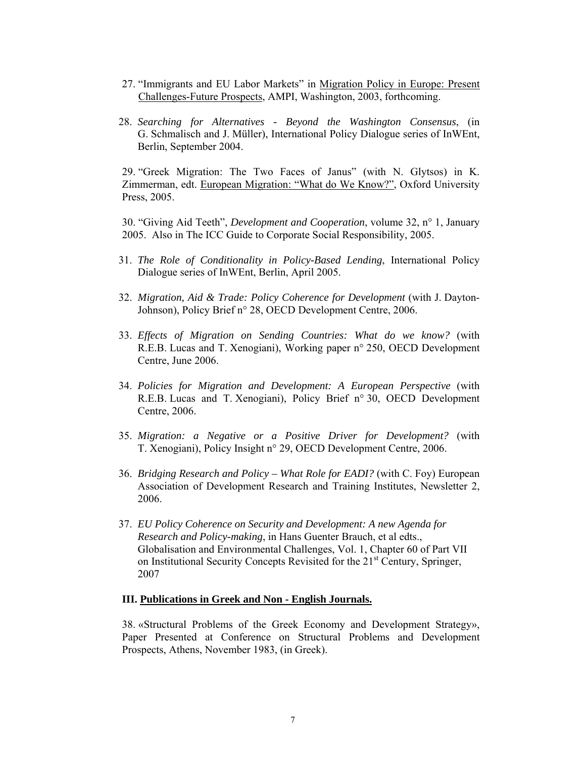- 27. "Immigrants and EU Labor Markets" in Migration Policy in Europe: Present Challenges-Future Prospects, AMPI, Washington, 2003, forthcoming.
- 28. *Searching for Alternatives Beyond the Washington Consensus*, (in G. Schmalisch and J. Müller), International Policy Dialogue series of InWEnt, Berlin, September 2004.

29. "Greek Migration: The Two Faces of Janus" (with N. Glytsos) in K. Zimmerman, edt. European Migration: "What do We Know?", Oxford University Press, 2005.

30. "Giving Aid Teeth", *Development and Cooperation*, volume 32, n° 1, January 2005. Also in The ICC Guide to Corporate Social Responsibility, 2005.

- 31. *The Role of Conditionality in Policy-Based Lending*, International Policy Dialogue series of InWEnt, Berlin, April 2005.
- 32. *Migration, Aid & Trade: Policy Coherence for Development* (with J. Dayton-Johnson), Policy Brief n° 28, OECD Development Centre, 2006.
- 33. *Effects of Migration on Sending Countries: What do we know?* (with R.E.B. Lucas and T. Xenogiani), Working paper n° 250, OECD Development Centre, June 2006.
- 34. *Policies for Migration and Development: A European Perspective* (with R.E.B. Lucas and T. Xenogiani), Policy Brief n° 30, OECD Development Centre, 2006.
- 35. *Migration: a Negative or a Positive Driver for Development?* (with T. Xenogiani), Policy Insight n° 29, OECD Development Centre, 2006.
- 36. *Bridging Research and Policy What Role for EADI?* (with C. Foy) European Association of Development Research and Training Institutes, Newsletter 2, 2006.
- 37. *EU Policy Coherence on Security and Development: A new Agenda for Research and Policy-making*, in Hans Guenter Brauch, et al edts., Globalisation and Environmental Challenges, Vol. 1, Chapter 60 of Part VII on Institutional Security Concepts Revisited for the 21<sup>st</sup> Century, Springer, 2007

## **III. Publications in Greek and Non - English Journals.**

38. «Structural Problems of the Greek Economy and Development Strategy», Paper Presented at Conference on Structural Problems and Development Prospects, Athens, November 1983, (in Greek).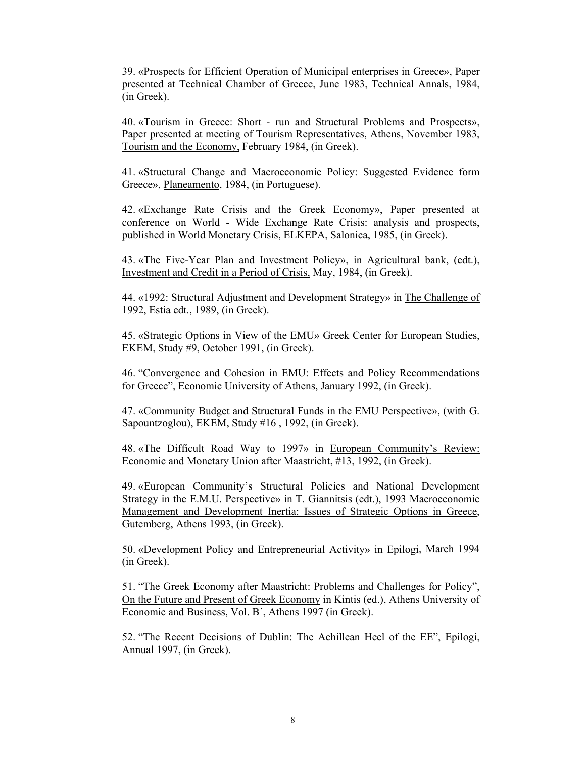39. «Prospects for Efficient Operation of Municipal enterprises in Greece», Paper presented at Technical Chamber of Greece, June 1983, Technical Annals, 1984, (in Greek).

40. «Tourism in Greece: Short - run and Structural Problems and Prospects», Paper presented at meeting of Tourism Representatives, Athens, November 1983, Tourism and the Economy, February 1984, (in Greek).

41. «Structural Change and Macroeconomic Policy: Suggested Evidence form Greece», Planeamento, 1984, (in Portuguese).

42. «Exchange Rate Crisis and the Greek Economy», Paper presented at conference on World - Wide Exchange Rate Crisis: analysis and prospects, published in World Monetary Crisis, ELKEPA, Salonica, 1985, (in Greek).

43. «The Five-Year Plan and Investment Policy», in Agricultural bank, (edt.), Investment and Credit in a Period of Crisis, May, 1984, (in Greek).

44. «1992: Structural Adjustment and Development Strategy» in The Challenge of 1992, Estia edt., 1989, (in Greek).

45. «Strategic Options in View of the EMU» Greek Center for European Studies, EKEM, Study #9, October 1991, (in Greek).

46. "Convergence and Cohesion in EMU: Effects and Policy Recommendations for Greece", Economic University of Athens, January 1992, (in Greek).

47. «Community Budget and Structural Funds in the EMU Perspective», (with G. Sapountzoglou), EKEM, Study #16 , 1992, (in Greek).

48. «The Difficult Road Way to 1997» in European Community's Review: Economic and Monetary Union after Maastricht, #13, 1992, (in Greek).

49. «European Community's Structural Policies and National Development Strategy in the E.M.U. Perspective» in T. Giannitsis (edt.), 1993 Macroeconomic Management and Development Inertia: Issues of Strategic Options in Greece, Gutemberg, Athens 1993, (in Greek).

50. «Development Policy and Entrepreneurial Activity» in Epilogi, March 1994 (in Greek).

51. "The Greek Economy after Maastricht: Problems and Challenges for Policy", On the Future and Present of Greek Economy in Kintis (ed.), Athens University of Economic and Business, Vol. Β΄, Athens 1997 (in Greek).

52. "The Recent Decisions of Dublin: The Achillean Heel of the EE", Epilogi, Annual 1997, (in Greek).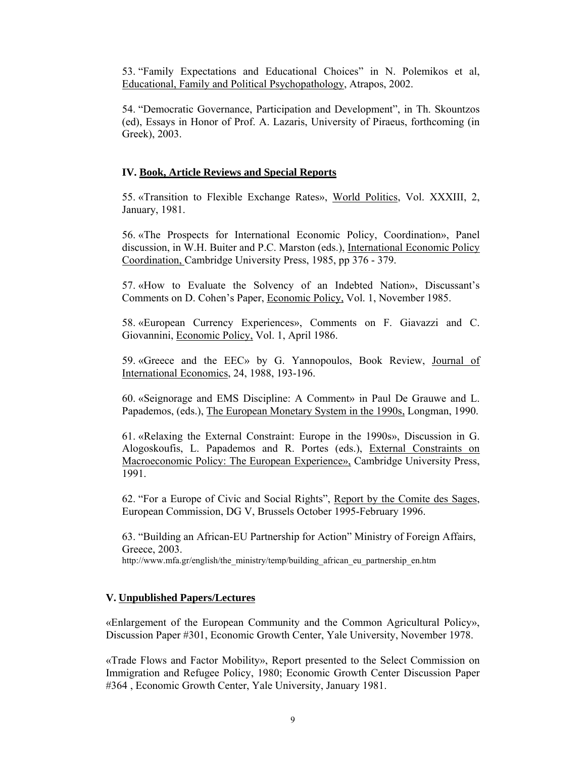53. "Family Expectations and Educational Choices" in N. Polemikos et al, Educational, Family and Political Psychopathology, Atrapos, 2002.

54. "Democratic Governance, Participation and Development", in Th. Skountzos (ed), Essays in Honor of Prof. A. Lazaris, University of Piraeus, forthcoming (in Greek), 2003.

## **IV. Book, Article Reviews and Special Reports**

55. «Transition to Flexible Exchange Rates», World Politics, Vol. XXXIII, 2, January, 1981.

56. «The Prospects for International Economic Policy, Coordination», Panel discussion, in W.H. Buiter and P.C. Marston (eds.), International Economic Policy Coordination, Cambridge University Press, 1985, pp 376 - 379.

57. «How to Evaluate the Solvency of an Indebted Nation», Discussant's Comments on D. Cohen's Paper, Economic Policy, Vol. 1, November 1985.

58. «European Currency Experiences», Comments on F. Giavazzi and C. Giovannini, Economic Policy, Vol. 1, April 1986.

59. «Greece and the EEC» by G. Yannopoulos, Book Review, Journal of International Economics, 24, 1988, 193-196.

60. «Seignorage and EMS Discipline: A Comment» in Paul De Grauwe and L. Papademos, (eds.), The European Monetary System in the 1990s, Longman, 1990.

61. «Relaxing the External Constraint: Europe in the 1990s», Discussion in G. Alogoskoufis, L. Papademos and R. Portes (eds.), External Constraints on Macroeconomic Policy: The European Experience», Cambridge University Press, 1991.

62. "For a Europe of Civic and Social Rights", Report by the Comite des Sages, European Commission, DG V, Brussels October 1995-February 1996.

63. "Building an African-EU Partnership for Action" Ministry of Foreign Affairs, Greece, 2003. http://www.mfa.gr/english/the\_ministry/temp/building\_african\_eu\_partnership\_en.htm

## **V. Unpublished Papers/Lectures**

«Enlargement of the European Community and the Common Agricultural Policy», Discussion Paper #301, Economic Growth Center, Yale University, November 1978.

«Trade Flows and Factor Mobility», Report presented to the Select Commission on Immigration and Refugee Policy, 1980; Economic Growth Center Discussion Paper #364 , Economic Growth Center, Yale University, January 1981.